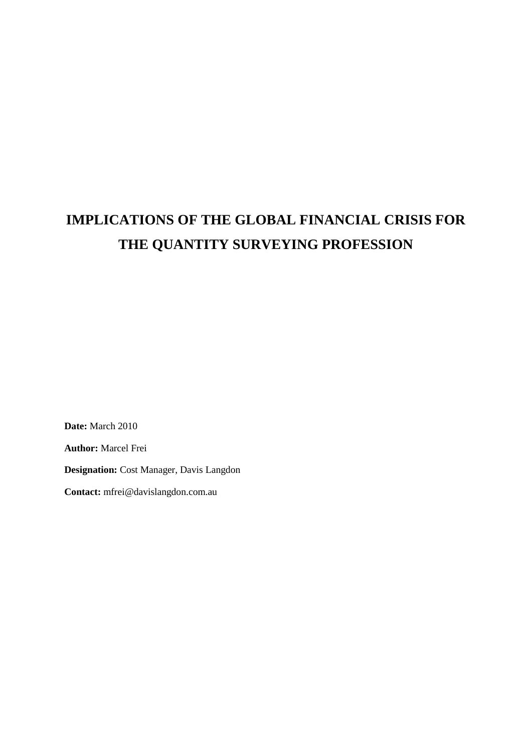# **IMPLICATIONS OF THE GLOBAL FINANCIAL CRISIS FOR THE QUANTITY SURVEYING PROFESSION**

**Date:** March 2010

**Author:** Marcel Frei

**Designation:** Cost Manager, Davis Langdon

**Contact:** mfrei@davislangdon.com.au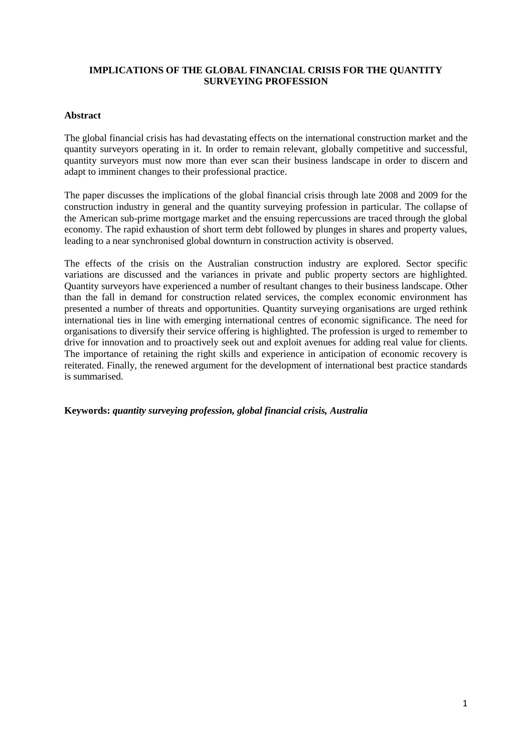## **IMPLICATIONS OF THE GLOBAL FINANCIAL CRISIS FOR THE QUANTITY SURVEYING PROFESSION**

## **Abstract**

The global financial crisis has had devastating effects on the international construction market and the quantity surveyors operating in it. In order to remain relevant, globally competitive and successful, quantity surveyors must now more than ever scan their business landscape in order to discern and adapt to imminent changes to their professional practice.

The paper discusses the implications of the global financial crisis through late 2008 and 2009 for the construction industry in general and the quantity surveying profession in particular. The collapse of the American sub-prime mortgage market and the ensuing repercussions are traced through the global economy. The rapid exhaustion of short term debt followed by plunges in shares and property values, leading to a near synchronised global downturn in construction activity is observed.

The effects of the crisis on the Australian construction industry are explored. Sector specific variations are discussed and the variances in private and public property sectors are highlighted. Quantity surveyors have experienced a number of resultant changes to their business landscape. Other than the fall in demand for construction related services, the complex economic environment has presented a number of threats and opportunities. Quantity surveying organisations are urged rethink international ties in line with emerging international centres of economic significance. The need for organisations to diversify their service offering is highlighted. The profession is urged to remember to drive for innovation and to proactively seek out and exploit avenues for adding real value for clients. The importance of retaining the right skills and experience in anticipation of economic recovery is reiterated. Finally, the renewed argument for the development of international best practice standards is summarised.

**Keywords:** *quantity surveying profession, global financial crisis, Australia*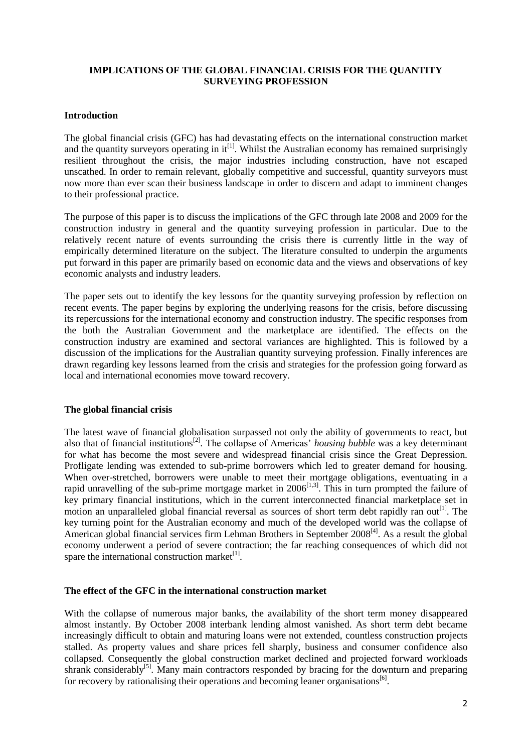## **IMPLICATIONS OF THE GLOBAL FINANCIAL CRISIS FOR THE QUANTITY SURVEYING PROFESSION**

## **Introduction**

The global financial crisis (GFC) has had devastating effects on the international construction market and the quantity surveyors operating in it<sup>[1]</sup>. Whilst the Australian economy has remained surprisingly resilient throughout the crisis, the major industries including construction, have not escaped unscathed. In order to remain relevant, globally competitive and successful, quantity surveyors must now more than ever scan their business landscape in order to discern and adapt to imminent changes to their professional practice.

The purpose of this paper is to discuss the implications of the GFC through late 2008 and 2009 for the construction industry in general and the quantity surveying profession in particular. Due to the relatively recent nature of events surrounding the crisis there is currently little in the way of empirically determined literature on the subject. The literature consulted to underpin the arguments put forward in this paper are primarily based on economic data and the views and observations of key economic analysts and industry leaders.

The paper sets out to identify the key lessons for the quantity surveying profession by reflection on recent events. The paper begins by exploring the underlying reasons for the crisis, before discussing its repercussions for the international economy and construction industry. The specific responses from the both the Australian Government and the marketplace are identified. The effects on the construction industry are examined and sectoral variances are highlighted. This is followed by a discussion of the implications for the Australian quantity surveying profession. Finally inferences are drawn regarding key lessons learned from the crisis and strategies for the profession going forward as local and international economies move toward recovery.

## **The global financial crisis**

The latest wave of financial globalisation surpassed not only the ability of governments to react, but also that of financial institutions<sup>[2]</sup>. The collapse of Americas' *housing bubble* was a key determinant for what has become the most severe and widespread financial crisis since the Great Depression. Profligate lending was extended to sub-prime borrowers which led to greater demand for housing. When over-stretched, borrowers were unable to meet their mortgage obligations, eventuating in a rapid unravelling of the sub-prime mortgage market in  $2006^{[1,3]}$ . This in turn prompted the failure of key primary financial institutions, which in the current interconnected financial marketplace set in motion an unparalleled global financial reversal as sources of short term debt rapidly ran out<sup>[1]</sup>. The key turning point for the Australian economy and much of the developed world was the collapse of American global financial services firm Lehman Brothers in September 2008<sup>[4]</sup>. As a result the global economy underwent a period of severe contraction; the far reaching consequences of which did not spare the international construction market<sup>[1]</sup>.

#### **The effect of the GFC in the international construction market**

With the collapse of numerous major banks, the availability of the short term money disappeared almost instantly. By October 2008 interbank lending almost vanished. As short term debt became increasingly difficult to obtain and maturing loans were not extended, countless construction projects stalled. As property values and share prices fell sharply, business and consumer confidence also collapsed. Consequently the global construction market declined and projected forward workloads shrank considerably<sup>[5]</sup>. Many main contractors responded by bracing for the downturn and preparing for recovery by rationalising their operations and becoming leaner organisations<sup>[6]</sup>.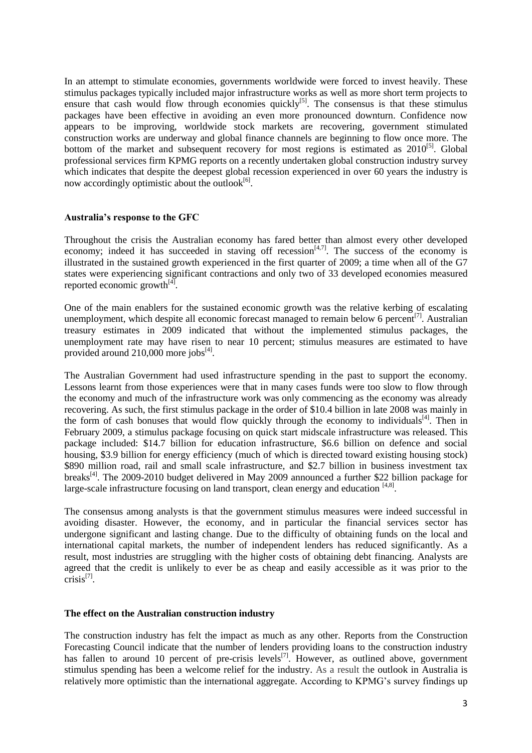In an attempt to stimulate economies, governments worldwide were forced to invest heavily. These stimulus packages typically included major infrastructure works as well as more short term projects to ensure that cash would flow through economies quickly<sup>[5]</sup>. The consensus is that these stimulus packages have been effective in avoiding an even more pronounced downturn. Confidence now appears to be improving, worldwide stock markets are recovering, government stimulated construction works are underway and global finance channels are beginning to flow once more. The bottom of the market and subsequent recovery for most regions is estimated as 2010<sup>[5]</sup>. Global professional services firm KPMG reports on a recently undertaken global construction industry survey which indicates that despite the deepest global recession experienced in over 60 years the industry is now accordingly optimistic about the outlook<sup>[6]</sup>.

#### **Australia's response to the GFC**

Throughout the crisis the Australian economy has fared better than almost every other developed economy; indeed it has succeeded in staving off recession $[4,7]$ . The success of the economy is illustrated in the sustained growth experienced in the first quarter of 2009; a time when all of the G7 states were experiencing significant contractions and only two of 33 developed economies measured reported economic growth $^{[4]}$ .

One of the main enablers for the sustained economic growth was the relative kerbing of escalating unemployment, which despite all economic forecast managed to remain below 6 percent<sup>[7]</sup>. Australian treasury estimates in 2009 indicated that without the implemented stimulus packages, the unemployment rate may have risen to near 10 percent; stimulus measures are estimated to have provided around 210,000 more jobs<sup>[4]</sup>.

The Australian Government had used infrastructure spending in the past to support the economy. Lessons learnt from those experiences were that in many cases funds were too slow to flow through the economy and much of the infrastructure work was only commencing as the economy was already recovering. As such, the first stimulus package in the order of \$10.4 billion in late 2008 was mainly in the form of cash bonuses that would flow quickly through the economy to individuals<sup>[4]</sup>. Then in February 2009, a stimulus package focusing on quick start midscale infrastructure was released. This package included: \$14.7 billion for education infrastructure, \$6.6 billion on defence and social housing, \$3.9 billion for energy efficiency (much of which is directed toward existing housing stock) \$890 million road, rail and small scale infrastructure, and \$2.7 billion in business investment tax breaks<sup>[4]</sup>. The 2009-2010 budget delivered in May 2009 announced a further \$22 billion package for large-scale infrastructure focusing on land transport, clean energy and education [4,8].

The consensus among analysts is that the government stimulus measures were indeed successful in avoiding disaster. However, the economy, and in particular the financial services sector has undergone significant and lasting change. Due to the difficulty of obtaining funds on the local and international capital markets, the number of independent lenders has reduced significantly. As a result, most industries are struggling with the higher costs of obtaining debt financing. Analysts are agreed that the credit is unlikely to ever be as cheap and easily accessible as it was prior to the crisis<sup>[7]</sup>.

#### **The effect on the Australian construction industry**

The construction industry has felt the impact as much as any other. Reports from the Construction Forecasting Council indicate that the number of lenders providing loans to the construction industry has fallen to around 10 percent of pre-crisis levels<sup>[7]</sup>. However, as outlined above, government stimulus spending has been a welcome relief for the industry. As a result the outlook in Australia is relatively more optimistic than the international aggregate. According to KPMG's survey findings up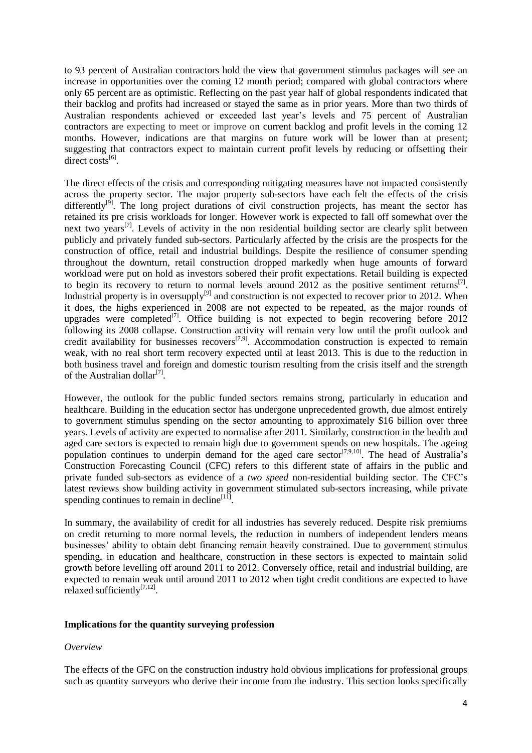to 93 percent of Australian contractors hold the view that government stimulus packages will see an increase in opportunities over the coming 12 month period; compared with global contractors where only 65 percent are as optimistic. Reflecting on the past year half of global respondents indicated that their backlog and profits had increased or stayed the same as in prior years. More than two thirds of Australian respondents achieved or exceeded last year's levels and 75 percent of Australian contractors are expecting to meet or improve on current backlog and profit levels in the coming 12 months. However, indications are that margins on future work will be lower than at present; suggesting that contractors expect to maintain current profit levels by reducing or offsetting their direct costs $^{[6]}$ .

The direct effects of the crisis and corresponding mitigating measures have not impacted consistently across the property sector. The major property sub-sectors have each felt the effects of the crisis differently<sup>[9]</sup>. The long project durations of civil construction projects, has meant the sector has retained its pre crisis workloads for longer. However work is expected to fall off somewhat over the next two years<sup>[7]</sup>. Levels of activity in the non residential building sector are clearly split between publicly and privately funded sub-sectors. Particularly affected by the crisis are the prospects for the construction of office, retail and industrial buildings. Despite the resilience of consumer spending throughout the downturn, retail construction dropped markedly when huge amounts of forward workload were put on hold as investors sobered their profit expectations. Retail building is expected to begin its recovery to return to normal levels around  $2012$  as the positive sentiment returns<sup>[7]</sup>. Industrial property is in oversupply<sup>[9]</sup> and construction is not expected to recover prior to 2012. When it does, the highs experienced in 2008 are not expected to be repeated, as the major rounds of upgrades were completed<sup>[7]</sup>. Office building is not expected to begin recovering before 2012 following its 2008 collapse. Construction activity will remain very low until the profit outlook and credit availability for businesses recovers<sup>[7,9]</sup>. Accommodation construction is expected to remain weak, with no real short term recovery expected until at least 2013. This is due to the reduction in both business travel and foreign and domestic tourism resulting from the crisis itself and the strength of the Australian dollar<sup>[7]</sup>.

However, the outlook for the public funded sectors remains strong, particularly in education and healthcare. Building in the education sector has undergone unprecedented growth, due almost entirely to government stimulus spending on the sector amounting to approximately \$16 billion over three years. Levels of activity are expected to normalise after 2011. Similarly, construction in the health and aged care sectors is expected to remain high due to government spends on new hospitals. The ageing population continues to underpin demand for the aged care sector<sup>[7,9,10]</sup>. The head of Australia's Construction Forecasting Council (CFC) refers to this different state of affairs in the public and private funded sub-sectors as evidence of a *two speed* non-residential building sector. The CFC's latest reviews show building activity in government stimulated sub-sectors increasing, while private spending continues to remain in decline $[11]$ .

In summary, the availability of credit for all industries has severely reduced. Despite risk premiums on credit returning to more normal levels, the reduction in numbers of independent lenders means businesses' ability to obtain debt financing remain heavily constrained. Due to government stimulus spending, in education and healthcare, construction in these sectors is expected to maintain solid growth before levelling off around 2011 to 2012. Conversely office, retail and industrial building, are expected to remain weak until around 2011 to 2012 when tight credit conditions are expected to have relaxed sufficiently<sup>[7,12]</sup>.

## **Implications for the quantity surveying profession**

## *Overview*

The effects of the GFC on the construction industry hold obvious implications for professional groups such as quantity surveyors who derive their income from the industry. This section looks specifically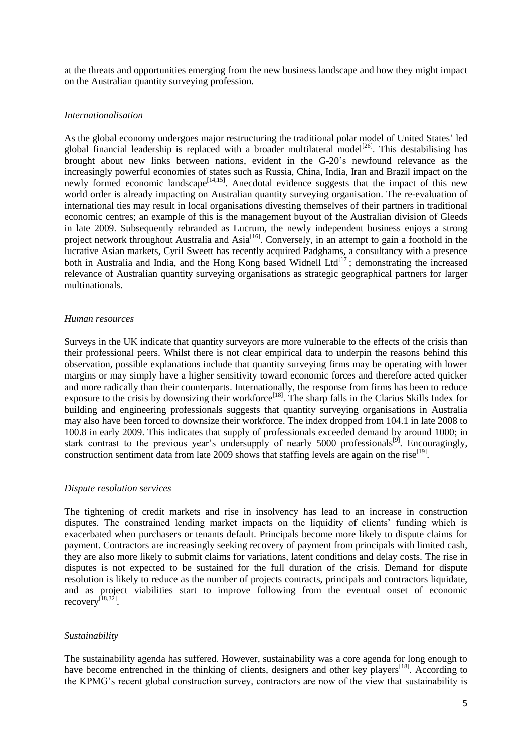at the threats and opportunities emerging from the new business landscape and how they might impact on the Australian quantity surveying profession.

#### *Internationalisation*

As the global economy undergoes major restructuring the traditional polar model of United States' led global financial leadership is replaced with a broader multilateral model<sup>[26]</sup>. This destabilising has brought about new links between nations, evident in the G-20's newfound relevance as the increasingly powerful economies of states such as Russia, China, India, Iran and Brazil impact on the newly formed economic landscape<sup>[14,15]</sup>. Anecdotal evidence suggests that the impact of this new world order is already impacting on Australian quantity surveying organisation. The re-evaluation of international ties may result in local organisations divesting themselves of their partners in traditional economic centres; an example of this is the management buyout of the Australian division of Gleeds in late 2009. Subsequently rebranded as Lucrum, the newly independent business enjoys a strong project network throughout Australia and Asia<sup>[16]</sup>. Conversely, in an attempt to gain a foothold in the lucrative Asian markets, Cyril Sweett has recently acquired Padghams, a consultancy with a presence both in Australia and India, and the Hong Kong based Widnell Ltd<sup>[17]</sup>; demonstrating the increased relevance of Australian quantity surveying organisations as strategic geographical partners for larger multinationals.

### *Human resources*

Surveys in the UK indicate that quantity surveyors are more vulnerable to the effects of the crisis than their professional peers. Whilst there is not clear empirical data to underpin the reasons behind this observation, possible explanations include that quantity surveying firms may be operating with lower margins or may simply have a higher sensitivity toward economic forces and therefore acted quicker and more radically than their counterparts. Internationally, the response from firms has been to reduce exposure to the crisis by downsizing their workforce<sup>[18]</sup>. The sharp falls in the Clarius Skills Index for building and engineering professionals suggests that quantity surveying organisations in Australia may also have been forced to downsize their workforce. The index dropped from 104.1 in late 2008 to 100.8 in early 2009. This indicates that supply of professionals exceeded demand by around 1000; in stark contrast to the previous year's undersupply of nearly 5000 professionals<sup>[9]</sup>. Encouragingly, construction sentiment data from late 2009 shows that staffing levels are again on the rise<sup>[19]</sup>.

## *Dispute resolution services*

The tightening of credit markets and rise in insolvency has lead to an increase in construction disputes. The constrained lending market impacts on the liquidity of clients' funding which is exacerbated when purchasers or tenants default. Principals become more likely to dispute claims for payment. Contractors are increasingly seeking recovery of payment from principals with limited cash, they are also more likely to submit claims for variations, latent conditions and delay costs. The rise in disputes is not expected to be sustained for the full duration of the crisis. Demand for dispute resolution is likely to reduce as the number of projects contracts, principals and contractors liquidate, and as project viabilities start to improve following from the eventual onset of economic recovery<sup>[18,32]</sup>.

## *Sustainability*

The sustainability agenda has suffered. However, sustainability was a core agenda for long enough to have become entrenched in the thinking of clients, designers and other key players<sup>[18]</sup>. According to the KPMG's recent global construction survey, contractors are now of the view that sustainability is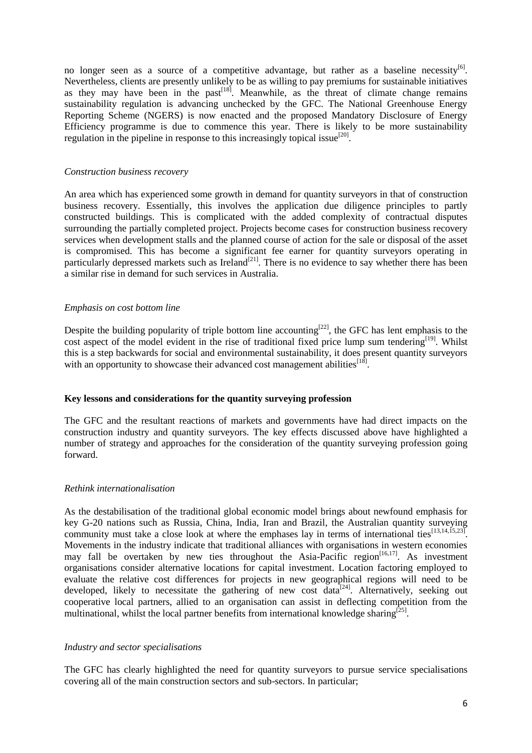no longer seen as a source of a competitive advantage, but rather as a baseline necessity  $[6]$ . Nevertheless, clients are presently unlikely to be as willing to pay premiums for sustainable initiatives as they may have been in the  $past<sup>[18]</sup>$ . Meanwhile, as the threat of climate change remains sustainability regulation is advancing unchecked by the GFC. The National Greenhouse Energy Reporting Scheme (NGERS) is now enacted and the proposed Mandatory Disclosure of Energy Efficiency programme is due to commence this year. There is likely to be more sustainability regulation in the pipeline in response to this increasingly topical issue<sup>[20]</sup>.

#### *Construction business recovery*

An area which has experienced some growth in demand for quantity surveyors in that of construction business recovery. Essentially, this involves the application due diligence principles to partly constructed buildings. This is complicated with the added complexity of contractual disputes surrounding the partially completed project. Projects become cases for construction business recovery services when development stalls and the planned course of action for the sale or disposal of the asset is compromised. This has become a significant fee earner for quantity surveyors operating in particularly depressed markets such as Ireland<sup>[21]</sup>. There is no evidence to say whether there has been a similar rise in demand for such services in Australia.

### *Emphasis on cost bottom line*

Despite the building popularity of triple bottom line accounting<sup>[22]</sup>, the GFC has lent emphasis to the cost aspect of the model evident in the rise of traditional fixed price lump sum tendering<sup>[19]</sup>. Whilst this is a step backwards for social and environmental sustainability, it does present quantity surveyors with an opportunity to showcase their advanced cost management abilities<sup>[18]</sup>.

#### **Key lessons and considerations for the quantity surveying profession**

The GFC and the resultant reactions of markets and governments have had direct impacts on the construction industry and quantity surveyors. The key effects discussed above have highlighted a number of strategy and approaches for the consideration of the quantity surveying profession going forward.

## *Rethink internationalisation*

As the destabilisation of the traditional global economic model brings about newfound emphasis for key G-20 nations such as Russia, China, India, Iran and Brazil, the Australian quantity surveying community must take a close look at where the emphases lay in terms of international ties<sup>[13,14,15,23]</sup>. Movements in the industry indicate that traditional alliances with organisations in western economies may fall be overtaken by new ties throughout the Asia-Pacific region  $[16,17]$ . As investment organisations consider alternative locations for capital investment. Location factoring employed to evaluate the relative cost differences for projects in new geographical regions will need to be developed, likely to necessitate the gathering of new cost data<sup>[24]</sup>. Alternatively, seeking out cooperative local partners, allied to an organisation can assist in deflecting competition from the multinational, whilst the local partner benefits from international knowledge sharing<sup>[25]</sup>.

#### *Industry and sector specialisations*

The GFC has clearly highlighted the need for quantity surveyors to pursue service specialisations covering all of the main construction sectors and sub-sectors. In particular;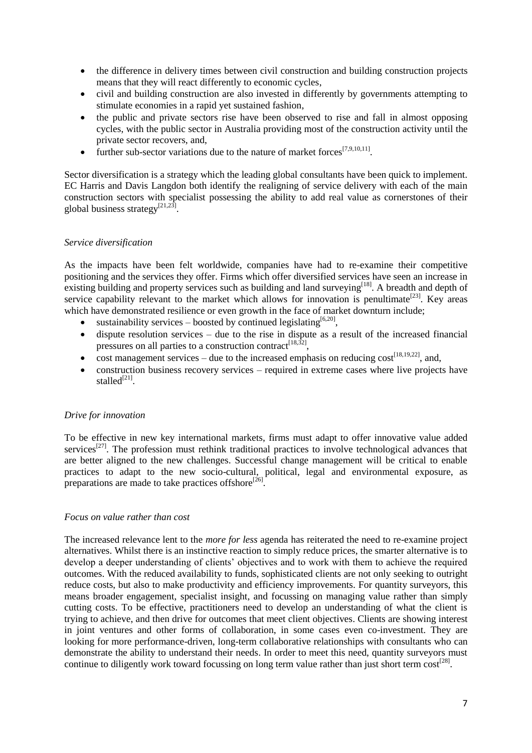- the difference in delivery times between civil construction and building construction projects means that they will react differently to economic cycles,
- civil and building construction are also invested in differently by governments attempting to stimulate economies in a rapid yet sustained fashion,
- the public and private sectors rise have been observed to rise and fall in almost opposing cycles, with the public sector in Australia providing most of the construction activity until the private sector recovers, and,
- further sub-sector variations due to the nature of market forces<sup>[7,9,10,11]</sup>.

Sector diversification is a strategy which the leading global consultants have been quick to implement. EC Harris and Davis Langdon both identify the realigning of service delivery with each of the main construction sectors with specialist possessing the ability to add real value as cornerstones of their global business strategy<sup>[21,23]</sup>.

### *Service diversification*

As the impacts have been felt worldwide, companies have had to re-examine their competitive positioning and the services they offer. Firms which offer diversified services have seen an increase in existing building and property services such as building and land surveying<sup>[18]</sup>. A breadth and depth of service capability relevant to the market which allows for innovation is penultimate<sup>[23]</sup>. Key areas which have demonstrated resilience or even growth in the face of market downturn include;

- sustainability services boosted by continued legislating<sup>[6,20]</sup>,
- dispute resolution services due to the rise in dispute as a result of the increased financial pressures on all parties to a construction contract<sup>[18,32]</sup>,
- cost management services due to the increased emphasis on reducing  $cost^{[18,19,22]}$ , and,
- construction business recovery services required in extreme cases where live projects have stalled<sup>[21]</sup>.

#### *Drive for innovation*

To be effective in new key international markets, firms must adapt to offer innovative value added services<sup>[27]</sup>. The profession must rethink traditional practices to involve technological advances that are better aligned to the new challenges. Successful change management will be critical to enable practices to adapt to the new socio-cultural, political, legal and environmental exposure, as preparations are made to take practices offshore<sup>[26]</sup>.

#### *Focus on value rather than cost*

The increased relevance lent to the *more for less* agenda has reiterated the need to re-examine project alternatives. Whilst there is an instinctive reaction to simply reduce prices, the smarter alternative is to develop a deeper understanding of clients' objectives and to work with them to achieve the required outcomes. With the reduced availability to funds, sophisticated clients are not only seeking to outright reduce costs, but also to make productivity and efficiency improvements. For quantity surveyors, this means broader engagement, specialist insight, and focussing on managing value rather than simply cutting costs. To be effective, practitioners need to develop an understanding of what the client is trying to achieve, and then drive for outcomes that meet client objectives. Clients are showing interest in joint ventures and other forms of collaboration, in some cases even co-investment. They are looking for more performance-driven, long-term collaborative relationships with consultants who can demonstrate the ability to understand their needs. In order to meet this need, quantity surveyors must continue to diligently work toward focussing on long term value rather than just short term cost<sup>[28]</sup>.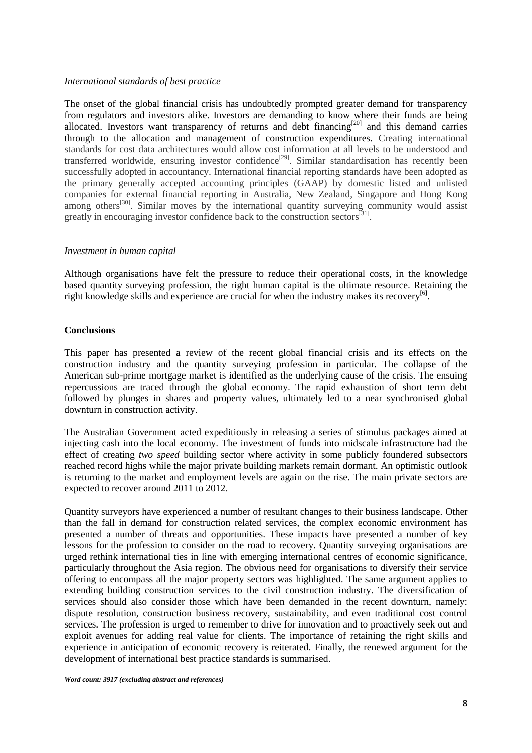## *International standards of best practice*

The onset of the global financial crisis has undoubtedly prompted greater demand for transparency from regulators and investors alike. Investors are demanding to know where their funds are being allocated. Investors want transparency of returns and debt financing<sup>[20]</sup> and this demand carries through to the allocation and management of construction expenditures. Creating international standards for cost data architectures would allow cost information at all levels to be understood and transferred worldwide, ensuring investor confidence<sup>[29]</sup>. Similar standardisation has recently been successfully adopted in accountancy. International financial reporting standards have been adopted as the primary generally accepted accounting principles (GAAP) by domestic listed and unlisted companies for external financial reporting in Australia, New Zealand, Singapore and Hong Kong among others<sup>[30]</sup>. Similar moves by the international quantity surveying community would assist greatly in encouraging investor confidence back to the construction sectors<sup>[31]</sup>.

### *Investment in human capital*

Although organisations have felt the pressure to reduce their operational costs, in the knowledge based quantity surveying profession, the right human capital is the ultimate resource. Retaining the right knowledge skills and experience are crucial for when the industry makes its recovery<sup>[6]</sup>.

## **Conclusions**

This paper has presented a review of the recent global financial crisis and its effects on the construction industry and the quantity surveying profession in particular. The collapse of the American sub-prime mortgage market is identified as the underlying cause of the crisis. The ensuing repercussions are traced through the global economy. The rapid exhaustion of short term debt followed by plunges in shares and property values, ultimately led to a near synchronised global downturn in construction activity.

The Australian Government acted expeditiously in releasing a series of stimulus packages aimed at injecting cash into the local economy. The investment of funds into midscale infrastructure had the effect of creating *two speed* building sector where activity in some publicly foundered subsectors reached record highs while the major private building markets remain dormant. An optimistic outlook is returning to the market and employment levels are again on the rise. The main private sectors are expected to recover around 2011 to 2012.

Quantity surveyors have experienced a number of resultant changes to their business landscape. Other than the fall in demand for construction related services, the complex economic environment has presented a number of threats and opportunities. These impacts have presented a number of key lessons for the profession to consider on the road to recovery. Quantity surveying organisations are urged rethink international ties in line with emerging international centres of economic significance, particularly throughout the Asia region. The obvious need for organisations to diversify their service offering to encompass all the major property sectors was highlighted. The same argument applies to extending building construction services to the civil construction industry. The diversification of services should also consider those which have been demanded in the recent downturn, namely: dispute resolution, construction business recovery, sustainability, and even traditional cost control services. The profession is urged to remember to drive for innovation and to proactively seek out and exploit avenues for adding real value for clients. The importance of retaining the right skills and experience in anticipation of economic recovery is reiterated. Finally, the renewed argument for the development of international best practice standards is summarised.

*Word count: 3917 (excluding abstract and references)*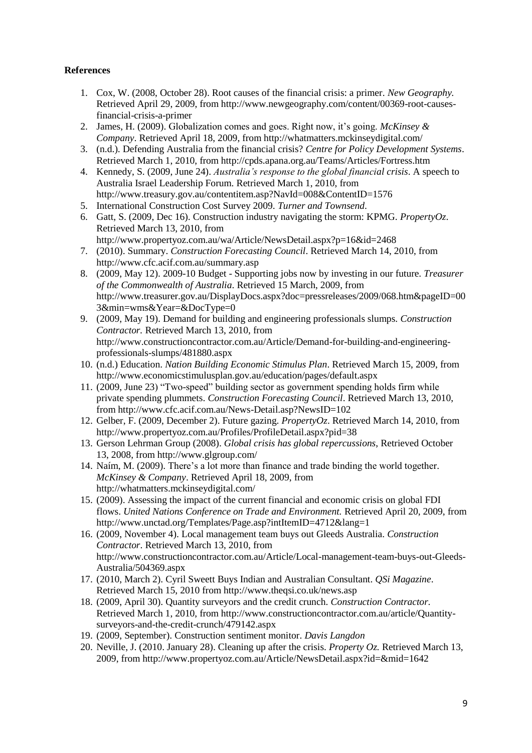# **References**

- 1. Cox, W. (2008, October 28). Root causes of the financial crisis: a primer. *New Geography.*  Retrieved April 29, 2009, from http://www.newgeography.com/content/00369-root-causesfinancial-crisis-a-primer
- 2. James, H. (2009). Globalization comes and goes. Right now, it's going. *McKinsey & Company*. Retrieved April 18, 2009, from http://whatmatters.mckinseydigital.com/
- 3. (n.d.). Defending Australia from the financial crisis? *Centre for Policy Development Systems*. Retrieved March 1, 2010, from http://cpds.apana.org.au/Teams/Articles/Fortress.htm
- 4. Kennedy, S. (2009, June 24). *Australia's response to the global financial crisis*. A speech to Australia Israel Leadership Forum. Retrieved March 1, 2010, from http://www.treasury.gov.au/contentitem.asp?NavId=008&ContentID=1576
- 5. International Construction Cost Survey 2009. *Turner and Townsend*.
- 6. Gatt, S. (2009, Dec 16). Construction industry navigating the storm: KPMG. *PropertyOz*. Retrieved March 13, 2010, from http://www.propertyoz.com.au/wa/Article/NewsDetail.aspx?p=16&id=2468
- 7. (2010). Summary. *Construction Forecasting Council*. Retrieved March 14, 2010, from http://www.cfc.acif.com.au/summary.asp
- 8. (2009, May 12). 2009-10 Budget Supporting jobs now by investing in our future. *Treasurer of the Commonwealth of Australia*. Retrieved 15 March, 2009, from http://www.treasurer.gov.au/DisplayDocs.aspx?doc=pressreleases/2009/068.htm&pageID=00 3&min=wms&Year=&DocType=0
- 9. (2009, May 19). Demand for building and engineering professionals slumps. *Construction Contractor.* Retrieved March 13, 2010, from http://www.constructioncontractor.com.au/Article/Demand-for-building-and-engineeringprofessionals-slumps/481880.aspx
- 10. (n.d.) Education. *Nation Building Economic Stimulus Plan*. Retrieved March 15, 2009, from http://www.economicstimulusplan.gov.au/education/pages/default.aspx
- 11. (2009, June 23) "Two-speed" building sector as government spending holds firm while private spending plummets. *Construction Forecasting Council*. Retrieved March 13, 2010, from http://www.cfc.acif.com.au/News-Detail.asp?NewsID=102
- 12. Gelber, F. (2009, December 2). Future gazing. *PropertyOz*. Retrieved March 14, 2010, from http://www.propertyoz.com.au/Profiles/ProfileDetail.aspx?pid=38
- 13. Gerson Lehrman Group (2008). *Global crisis has global repercussions*, Retrieved October 13, 2008, from http://www.glgroup.com/
- 14. Naím, M. (2009). There's a lot more than finance and trade binding the world together. *McKinsey & Company*. Retrieved April 18, 2009, from http://whatmatters.mckinseydigital.com/
- 15. (2009). Assessing the impact of the current financial and economic crisis on global FDI flows. *United Nations Conference on Trade and Environment.* Retrieved April 20, 2009, from http://www.unctad.org/Templates/Page.asp?intItemID=4712&lang=1
- 16. (2009, November 4). Local management team buys out Gleeds Australia. *Construction Contractor*. Retrieved March 13, 2010, from http://www.constructioncontractor.com.au/Article/Local-management-team-buys-out-Gleeds-Australia/504369.aspx
- 17. (2010, March 2). Cyril Sweett Buys Indian and Australian Consultant. *QSi Magazine*. Retrieved March 15, 2010 from<http://www.theqsi.co.uk/news.asp>
- 18. (2009, April 30). Quantity surveyors and the credit crunch. *Construction Contractor.* Retrieved March 1, 2010, from http://www.constructioncontractor.com.au/article/Quantitysurveyors-and-the-credit-crunch/479142.aspx
- 19. (2009, September). Construction sentiment monitor. *Davis Langdon*
- 20. Neville, J. (2010. January 28). Cleaning up after the crisis. *Property Oz.* Retrieved March 13, 2009, from http://www.propertyoz.com.au/Article/NewsDetail.aspx?id=&mid=1642